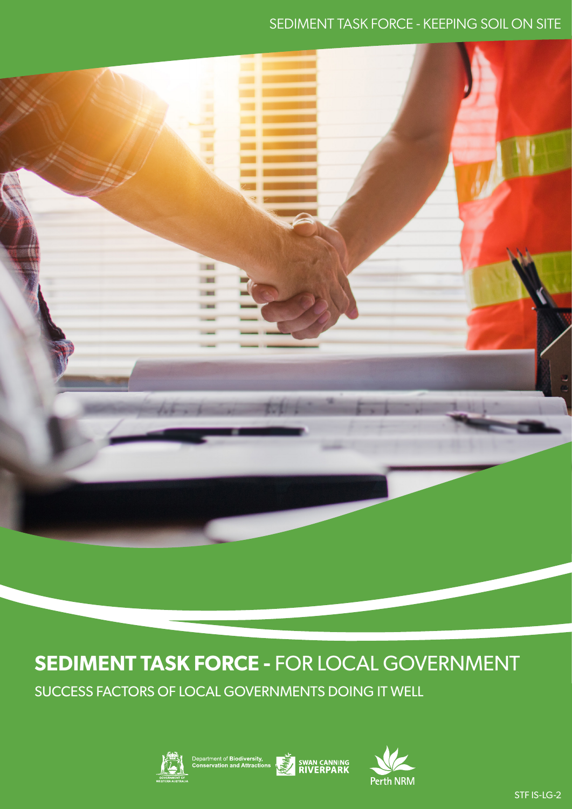### SEDIMENT TASK FORCE - KEEPING SOIL ON SITE



# **SEDIMENT TASK FORCE -** FOR LOCAL GOVERNMENT

SUCCESS FACTORS OF LOCAL GOVERNMENTS DOING IT WELL





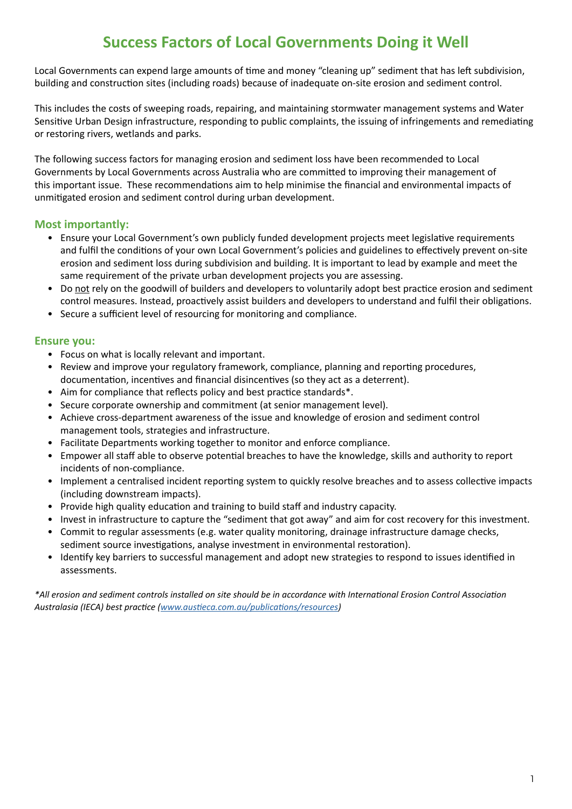# **Success Factors of Local Governments Doing it Well**

Local Governments can expend large amounts of time and money "cleaning up" sediment that has left subdivision, building and construction sites (including roads) because of inadequate on-site erosion and sediment control.

This includes the costs of sweeping roads, repairing, and maintaining stormwater management systems and Water Sensitive Urban Design infrastructure, responding to public complaints, the issuing of infringements and remediating or restoring rivers, wetlands and parks.

The following success factors for managing erosion and sediment loss have been recommended to Local Governments by Local Governments across Australia who are committed to improving their management of this important issue. These recommendations aim to help minimise the financial and environmental impacts of unmitigated erosion and sediment control during urban development.

### **Most importantly:**

- Ensure your Local Government's own publicly funded development projects meet legislative requirements and fulfil the conditions of your own Local Government's policies and guidelines to effectively prevent on-site erosion and sediment loss during subdivision and building. It is important to lead by example and meet the same requirement of the private urban development projects you are assessing.
- Do not rely on the goodwill of builders and developers to voluntarily adopt best practice erosion and sediment control measures. Instead, proactively assist builders and developers to understand and fulfil their obligations.
- Secure a sufficient level of resourcing for monitoring and compliance.

#### **Ensure you:**

- Focus on what is locally relevant and important.
- Review and improve your regulatory framework, compliance, planning and reporting procedures, documentation, incentives and financial disincentives (so they act as a deterrent).
- Aim for compliance that reflects policy and best practice standards\*.
- Secure corporate ownership and commitment (at senior management level).
- Achieve cross-department awareness of the issue and knowledge of erosion and sediment control management tools, strategies and infrastructure.
- Facilitate Departments working together to monitor and enforce compliance.
- Empower all staff able to observe potential breaches to have the knowledge, skills and authority to report incidents of non-compliance.
- Implement a centralised incident reporting system to quickly resolve breaches and to assess collective impacts (including downstream impacts).
- Provide high quality education and training to build staff and industry capacity.
- Invest in infrastructure to capture the "sediment that got away" and aim for cost recovery for this investment.
- Commit to regular assessments (e.g. water quality monitoring, drainage infrastructure damage checks, sediment source investigations, analyse investment in environmental restoration).
- Identify key barriers to successful management and adopt new strategies to respond to issues identified in assessments.

*\*All erosion and sediment controls installed on site should be in accordance with International Erosion Control Association Australasia (IECA) best practice [\(www.austieca.com.au/publications/resources](http://www.austieca.com.au/publications/resources))*